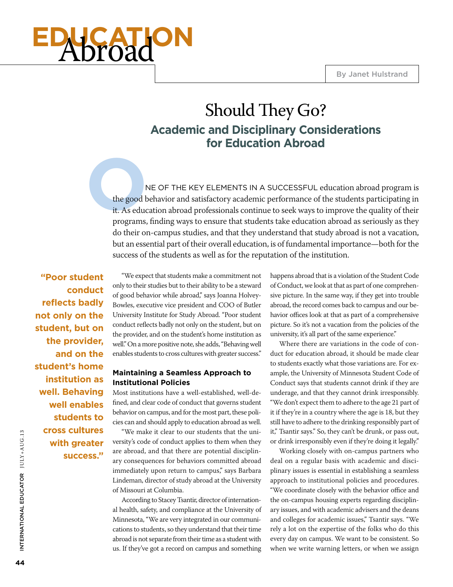# **Archard**

## Should They Go? **Academic and Disciplinary Considerations for Education Abroad**

**C**<br>
the good b<br>
it. As educe<br>
programs, ne of the key elements in a successful education abroad program is the good behavior and satisfactory academic performance of the students participating in it. As education abroad professionals continue to seek ways to improve the quality of their programs, finding ways to ensure that students take education abroad as seriously as they do their on-campus studies, and that they understand that study abroad is not a vacation, but an essential part of their overall education, is of fundamental importance—both for the success of the students as well as for the reputation of the institution.

**"Poor student conduct reflects badly not only on the student, but on the provider, and on the student's home institution as well. Behaving well enables students to cross cultures with greater success."**

"We expect that students make a commitment not only to their studies but to their ability to be a steward of good behavior while abroad," says Joanna Holvey-Bowles, executive vice president and COO of Butler University Institute for Study Abroad. "Poor student conduct reflects badly not only on the student, but on the provider, and on the student's home institution as well." On a more positive note, she adds, "Behaving well enables students to cross cultures with greater success."

#### **Maintaining a Seamless Approach to Institutional Policies**

Most institutions have a well-established, well-defined, and clear code of conduct that governs student behavior on campus, and for the most part, these policies can and should apply to education abroad as well.

"We make it clear to our students that the university's code of conduct applies to them when they are abroad, and that there are potential disciplinary consequences for behaviors committed abroad immediately upon return to campus," says Barbara Lindeman, director of study abroad at the University of Missouri at Columbia.

According to Stacey Tsantir, director of international health, safety, and compliance at the University of Minnesota, "We are very integrated in our communications to students, so they understand that their time abroad is not separate from their time as a student with us. If they've got a record on campus and something happens abroad that is a violation of the Student Code of Conduct, we look at that as part of one comprehensive picture. In the same way, if they get into trouble abroad, the record comes back to campus and our behavior offices look at that as part of a comprehensive picture. So it's not a vacation from the policies of the university, it's all part of the same experience."

Where there are variations in the code of conduct for education abroad, it should be made clear to students exactly what those variations are. For example, the University of Minnesota Student Code of Conduct says that students cannot drink if they are underage, and that they cannot drink irresponsibly. "We don't expect them to adhere to the age 21 part of it if they're in a country where the age is 18, but they still have to adhere to the drinking responsibly part of it," Tsantir says." So, they can't be drunk, or pass out, or drink irresponsibly even if they're doing it legally."

Working closely with on-campus partners who deal on a regular basis with academic and disciplinary issues is essential in establishing a seamless approach to institutional policies and procedures. "We coordinate closely with the behavior office and the on-campus housing experts regarding disciplinary issues, and with academic advisers and the deans and colleges for academic issues," Tsantir says. "We rely a lot on the expertise of the folks who do this every day on campus. We want to be consistent. So when we write warning letters, or when we assign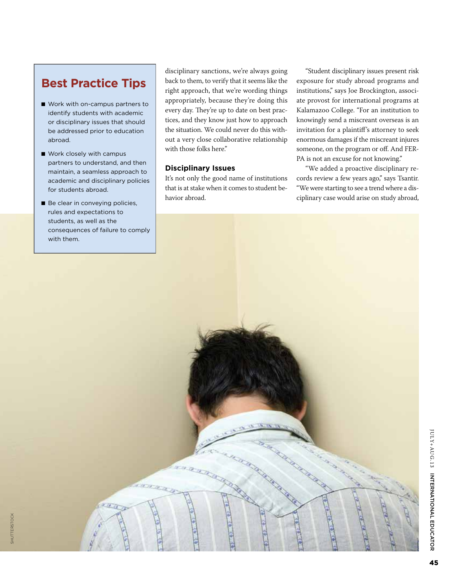## **Best Practice Tips**

- Work with on-campus partners to identify students with academic or disciplinary issues that should be addressed prior to education abroad.
- Work closely with campus partners to understand, and then maintain, a seamless approach to academic and disciplinary policies for students abroad.
- Be clear in conveying policies, rules and expectations to students, as well as the with them.

shutterstock

SHUTTERSTOCK

disciplinary sanctions, we're always going back to them, to verify that it seems like the right approach, that we're wording things appropriately, because they're doing this every day. They're up to date on best practices, and they know just how to approach the situation. We could never do this without a very close collaborative relationship with those folks here."

#### **Disciplinary Issues**

It's not only the good name of institutions that is at stake when it comes to student behavior abroad.

"Student disciplinary issues present risk exposure for study abroad programs and institutions," says Joe Brockington, associate provost for international programs at Kalamazoo College. "For an institution to knowingly send a miscreant overseas is an invitation for a plaintiff's attorney to seek enormous damages if the miscreant injures someone, on the program or off. And FER-PA is not an excuse for not knowing."

"We added a proactive disciplinary records review a few years ago," says Tsantir. "We were starting to see a trend where a disciplinary case would arise on study abroad,

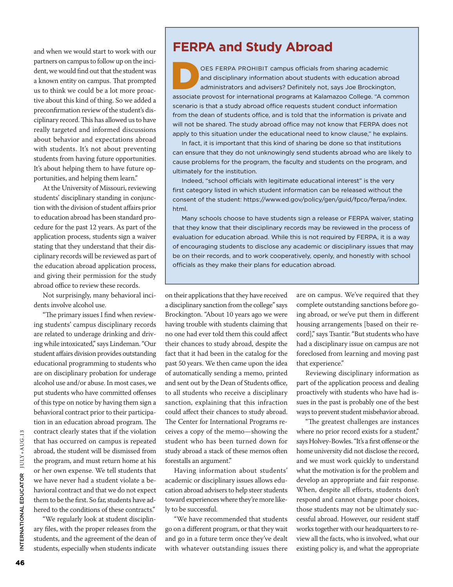and when we would start to work with our partners on campus to follow up on the incident, we would find out that the student was a known entity on campus. That prompted us to think we could be a lot more proactive about this kind of thing. So we added a preconfirmation review of the student's disciplinary record. This has allowed us to have really targeted and informed discussions about behavior and expectations abroad with students. It's not about preventing students from having future opportunities. It's about helping them to have future opportunities, and helping them learn."

At the University of Missouri, reviewing students' disciplinary standing in conjunction with the division of student affairs prior to education abroad has been standard procedure for the past 12 years. As part of the application process, students sign a waiver stating that they understand that their disciplinary records will be reviewed as part of the education abroad application process, and giving their permission for the study abroad office to review these records.

Not surprisingly, many behavioral incidents involve alcohol use.

"The primary issues I find when reviewing students' campus disciplinary records are related to underage drinking and driving while intoxicated," says Lindeman. "Our student affairs division provides outstanding educational programming to students who are on disciplinary probation for underage alcohol use and/or abuse. In most cases, we put students who have committed offenses of this type on notice by having them sign a behavioral contract prior to their participation in an education abroad program. The contract clearly states that if the violation that has occurred on campus is repeated abroad, the student will be dismissed from the program, and must return home at his or her own expense. We tell students that we have never had a student violate a behavioral contract and that we do not expect them to be the first. So far, students have adhered to the conditions of these contracts."

"We regularly look at student disciplinary files, with the proper releases from the students, and the agreement of the dean of students, especially when students indicate

## **FERPA and Study Abroad**

OES FERPA PROHIBIT campus officials from sharing academic<br>and disciplinary information about students with education abre<br>associate provost for international programs at Kalamazoo College. "A co and disciplinary information about students with education abroad administrators and advisers? Definitely not, says Joe Brockington, associate provost for international programs at Kalamazoo College. "A common scenario is that a study abroad office requests student conduct information from the dean of students office, and is told that the information is private and will not be shared. The study abroad office may not know that FERPA does not apply to this situation under the educational need to know clause," he explains.

In fact, it is important that this kind of sharing be done so that institutions can ensure that they do not unknowingly send students abroad who are likely to cause problems for the program, the faculty and students on the program, and ultimately for the institution.

Indeed, "school officials with legitimate educational interest" is the very first category listed in which student information can be released without the consent of the student: https://www.ed.gov/policy/gen/guid/fpco/ferpa/index. html.

Many schools choose to have students sign a release or FERPA waiver, stating that they know that their disciplinary records may be reviewed in the process of evaluation for education abroad. While this is not required by FERPA, it is a way of encouraging students to disclose any academic or disciplinary issues that may be on their records, and to work cooperatively, openly, and honestly with school officials as they make their plans for education abroad.

on their applications that they have received a disciplinary sanction from the college" says Brockington. "About 10 years ago we were having trouble with students claiming that no one had ever told them this could affect their chances to study abroad, despite the fact that it had been in the catalog for the past 50 years. We then came upon the idea of automatically sending a memo, printed and sent out by the Dean of Students office, to all students who receive a disciplinary sanction, explaining that this infraction could affect their chances to study abroad. The Center for International Programs receives a copy of the memo—showing the student who has been turned down for study abroad a stack of these memos often forestalls an argument."

Having information about students' academic or disciplinary issues allows education abroad advisers to help steer students toward experiences where they're more likely to be successful.

"We have recommended that students go on a different program, or that they wait and go in a future term once they've dealt with whatever outstanding issues there are on campus. We've required that they complete outstanding sanctions before going abroad, or we've put them in different housing arrangements [based on their record]," says Tsantir. "But students who have had a disciplinary issue on campus are not foreclosed from learning and moving past that experience."

Reviewing disciplinary information as part of the application process and dealing proactively with students who have had issues in the past is probably one of the best ways to prevent student misbehavior abroad.

"The greatest challenges are instances where no prior record exists for a student," says Holvey-Bowles. "It's a first offense or the home university did not disclose the record, and we must work quickly to understand what the motivation is for the problem and develop an appropriate and fair response. When, despite all efforts, students don't respond and cannot change poor choices, those students may not be ultimately successful abroad. However, our resident staff works together with our headquarters to review all the facts, who is involved, what our existing policy is, and what the appropriate